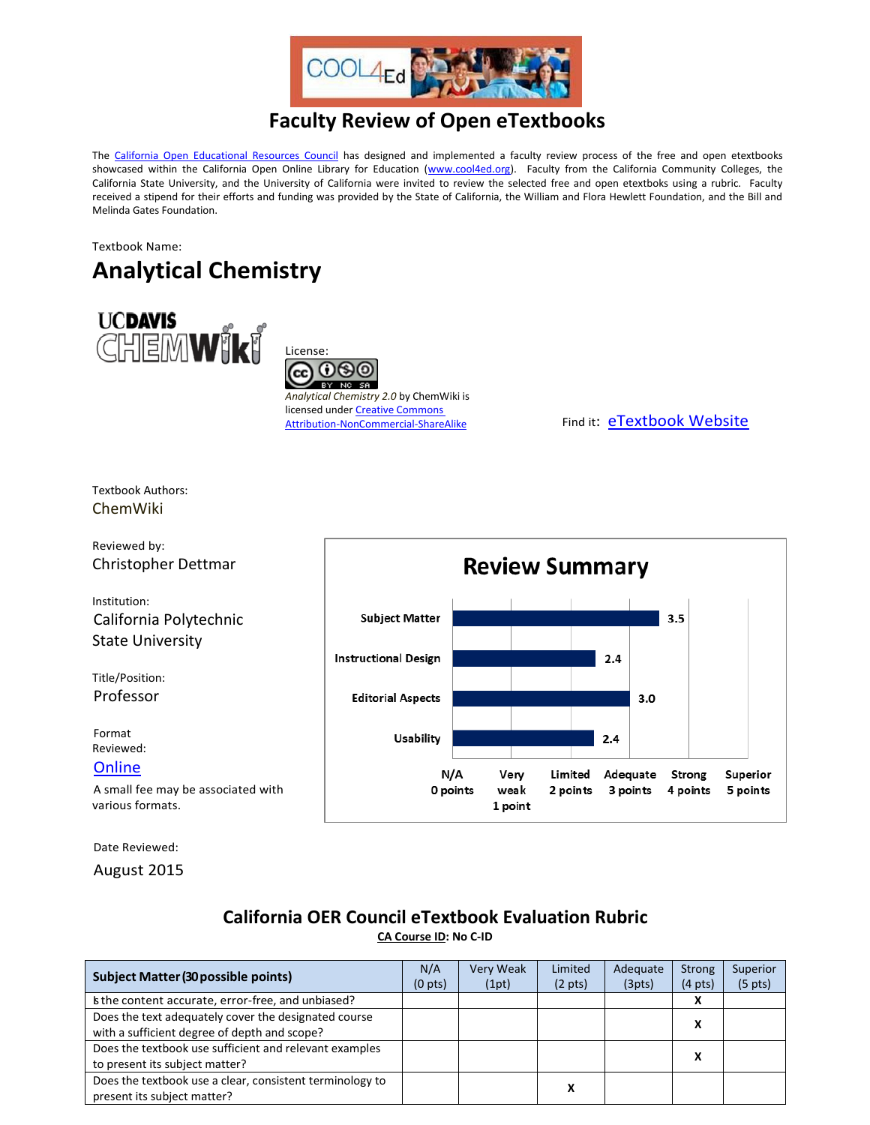

## **Faculty Review of Open eTextbooks**

The [California Open Educational Resources Council](http://icas-ca.org/coerc) has designed and implemented a faculty review process of the free and open etextbooks showcased within the California Open Online Library for Education [\(www.cool4ed.org\)](http://www.cool4ed.org/). Faculty from the California Community Colleges, the California State University, and the University of California were invited to review the selected free and open etextboks using a rubric. Faculty received a stipend for their efforts and funding was provided by the State of California, the William and Flora Hewlett Foundation, and the Bill and Melinda Gates Foundation.

## Textbook Name: **Analytical Chemistry**



License: (•)(\$) BY NC SA

*Analytical Chemistry 2.0* by ChemWiki is licensed under Creative Commons<br>Attribution-NonCommercial-ShareAlike

Find it: [eTextbook Website](http://chemwiki.ucdavis.edu/Analytical_Chemistry)

Textbook Authors: ChemWiki



Reviewed by:

Christopher Dettmar

Institution: California Polytechnic State University

Title/Position: Professor

Format Reviewed: **[Online](http://chemwiki.ucdavis.edu/Analytical_Chemistry)** 

A small fee may be associated with various formats.

Date Reviewed:

August 2015

## **California OER Council eTextbook Evaluation Rubric**

**[CA Course ID:](https://c-id.net/about.html) No C-ID**

| Subject Matter (30 possible points)                                                                  | N/A<br>$(0 \text{ pts})$ | Very Weak<br>(1pt) | Limited<br>$(2 \text{ pts})$ | Adequate<br>(3pts) | <b>Strong</b><br>$(4 \text{ pts})$ | Superior<br>(5 <i>pts</i> ) |
|------------------------------------------------------------------------------------------------------|--------------------------|--------------------|------------------------------|--------------------|------------------------------------|-----------------------------|
| the content accurate, error-free, and unbiased?                                                      |                          |                    |                              |                    |                                    |                             |
| Does the text adequately cover the designated course<br>with a sufficient degree of depth and scope? |                          |                    |                              |                    | х                                  |                             |
| Does the textbook use sufficient and relevant examples<br>to present its subject matter?             |                          |                    |                              |                    | х                                  |                             |
| Does the textbook use a clear, consistent terminology to<br>present its subject matter?              |                          |                    |                              |                    |                                    |                             |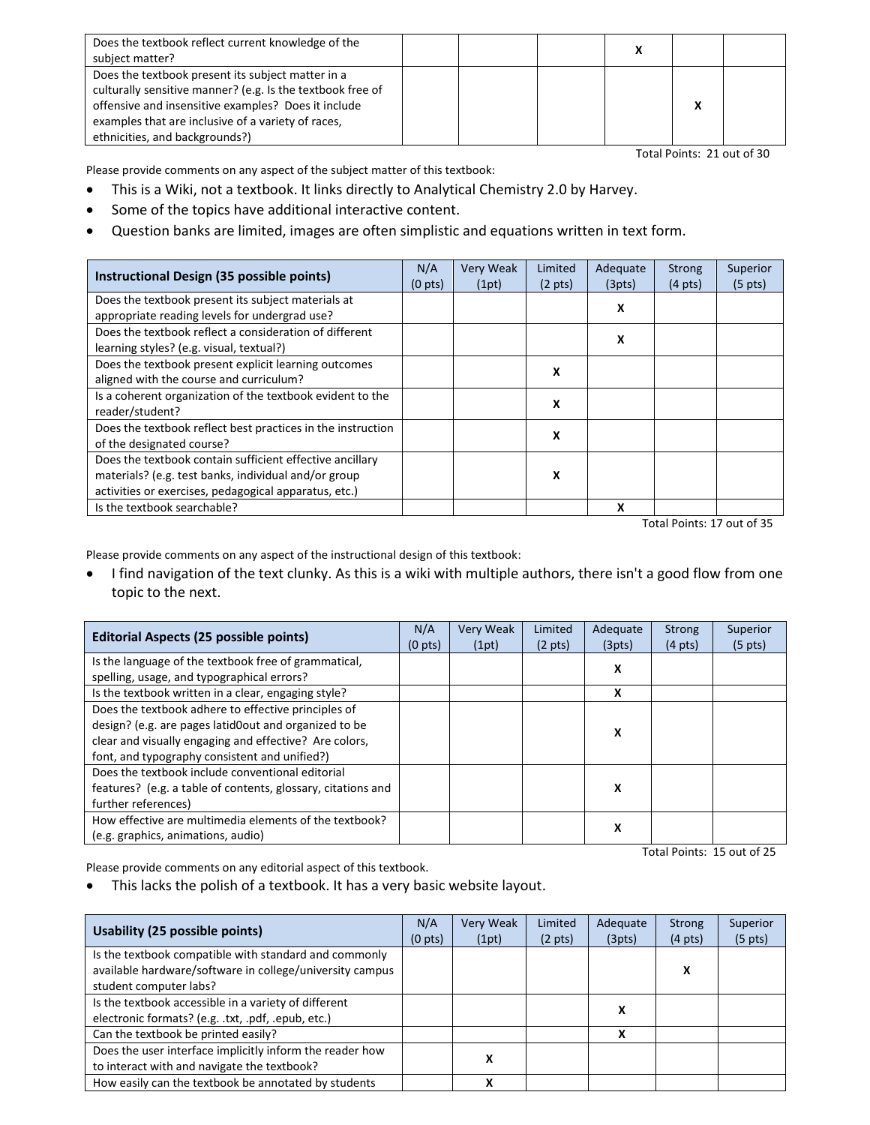| Does the textbook reflect current knowledge of the<br>subject matter?                                                                                                                                                                                          |  |  |  |
|----------------------------------------------------------------------------------------------------------------------------------------------------------------------------------------------------------------------------------------------------------------|--|--|--|
| Does the textbook present its subject matter in a<br>culturally sensitive manner? (e.g. Is the textbook free of<br>offensive and insensitive examples? Does it include<br>examples that are inclusive of a variety of races,<br>ethnicities, and backgrounds?) |  |  |  |

Total Points: 21 out of 30

Please provide comments on any aspect of the subject matter of this textbook:

- This is a Wiki, not a textbook. It links directly to Analytical Chemistry 2.0 by Harvey.
- Some of the topics have additional interactive content.
- Question banks are limited, images are often simplistic and equations written in text form.

| Instructional Design (35 possible points)                                                                                                                                 | N/A<br>(0 <sub>pts</sub> ) | Very Weak<br>(1pt) | Limited<br>$(2 \text{ pts})$ | Adequate<br>(3pts) | <b>Strong</b><br>$(4 \text{ pts})$ | Superior<br>$(5 \text{ pts})$ |
|---------------------------------------------------------------------------------------------------------------------------------------------------------------------------|----------------------------|--------------------|------------------------------|--------------------|------------------------------------|-------------------------------|
| Does the textbook present its subject materials at<br>appropriate reading levels for undergrad use?                                                                       |                            |                    |                              | x                  |                                    |                               |
| Does the textbook reflect a consideration of different<br>learning styles? (e.g. visual, textual?)                                                                        |                            |                    |                              | x                  |                                    |                               |
| Does the textbook present explicit learning outcomes<br>aligned with the course and curriculum?                                                                           |                            |                    | х                            |                    |                                    |                               |
| Is a coherent organization of the textbook evident to the<br>reader/student?                                                                                              |                            |                    | x                            |                    |                                    |                               |
| Does the textbook reflect best practices in the instruction<br>of the designated course?                                                                                  |                            |                    | X                            |                    |                                    |                               |
| Does the textbook contain sufficient effective ancillary<br>materials? (e.g. test banks, individual and/or group<br>activities or exercises, pedagogical apparatus, etc.) |                            |                    | x                            |                    |                                    |                               |
| Is the textbook searchable?                                                                                                                                               |                            |                    |                              | x                  |                                    |                               |

Total Points: 17 out of 35

Please provide comments on any aspect of the instructional design of this textbook:

 I find navigation of the text clunky. As this is a wiki with multiple authors, there isn't a good flow from one topic to the next.

|                                                              | N/A | <b>Very Weak</b> | Limited           | Adequate | <b>Strong</b>     | Superior          |
|--------------------------------------------------------------|-----|------------------|-------------------|----------|-------------------|-------------------|
| <b>Editorial Aspects (25 possible points)</b>                |     | (1pt)            | $(2 \text{ pts})$ | (3pts)   | $(4 \text{ pts})$ | $(5 \text{ pts})$ |
| Is the language of the textbook free of grammatical,         |     |                  |                   | X        |                   |                   |
| spelling, usage, and typographical errors?                   |     |                  |                   |          |                   |                   |
| Is the textbook written in a clear, engaging style?          |     |                  |                   | x        |                   |                   |
| Does the textbook adhere to effective principles of          |     |                  |                   |          |                   |                   |
| design? (e.g. are pages latid0out and organized to be        |     |                  |                   | X        |                   |                   |
| clear and visually engaging and effective? Are colors,       |     |                  |                   |          |                   |                   |
| font, and typography consistent and unified?)                |     |                  |                   |          |                   |                   |
| Does the textbook include conventional editorial             |     |                  |                   |          |                   |                   |
| features? (e.g. a table of contents, glossary, citations and |     |                  |                   | X        |                   |                   |
| further references)                                          |     |                  |                   |          |                   |                   |
| How effective are multimedia elements of the textbook?       |     |                  |                   |          |                   |                   |
| (e.g. graphics, animations, audio)                           |     |                  |                   | X        |                   |                   |

Total Points: 15 out of 25

Please provide comments on any editorial aspect of this textbook.

This lacks the polish of a textbook. It has a very basic website layout.

| Usability (25 possible points)                                                                                                              | N/A<br>(0 <sub>pts</sub> ) | Very Weak<br>(1pt) | Limited<br>$(2 \text{ pts})$ | Adequate<br>(3pts) | <b>Strong</b><br>$(4 \text{ pts})$ | Superior<br>$(5 \text{ pts})$ |
|---------------------------------------------------------------------------------------------------------------------------------------------|----------------------------|--------------------|------------------------------|--------------------|------------------------------------|-------------------------------|
| Is the textbook compatible with standard and commonly<br>available hardware/software in college/university campus<br>student computer labs? |                            |                    |                              |                    | х                                  |                               |
| Is the textbook accessible in a variety of different<br>electronic formats? (e.g. .txt, .pdf, .epub, etc.)                                  |                            |                    |                              | х                  |                                    |                               |
| Can the textbook be printed easily?                                                                                                         |                            |                    |                              | x                  |                                    |                               |
| Does the user interface implicitly inform the reader how<br>to interact with and navigate the textbook?                                     |                            | л                  |                              |                    |                                    |                               |
| How easily can the textbook be annotated by students                                                                                        |                            |                    |                              |                    |                                    |                               |